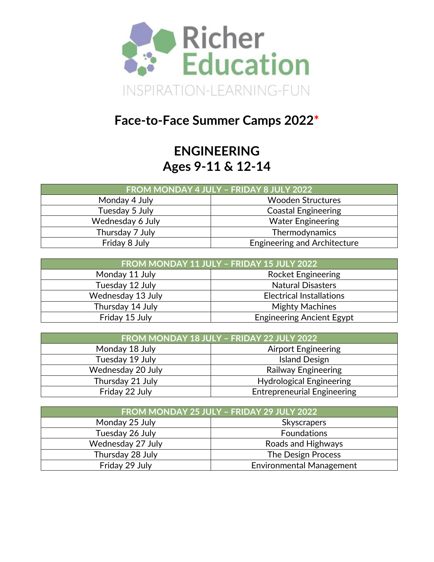

# **Face-to-Face Summer Camps 2022\***

### **ENGINEERING Ages 9-11 & 12-14**

| FROM MONDAY 4 JULY - FRIDAY 8 JULY 2022 |                                     |  |  |
|-----------------------------------------|-------------------------------------|--|--|
| Monday 4 July                           | <b>Wooden Structures</b>            |  |  |
| Tuesday 5 July                          | <b>Coastal Engineering</b>          |  |  |
| Wednesday 6 July                        | <b>Water Engineering</b>            |  |  |
| Thursday 7 July                         | Thermodynamics                      |  |  |
| Friday 8 July                           | <b>Engineering and Architecture</b> |  |  |

| FROM MONDAY 11 JULY - FRIDAY 15 JULY 2022 |                                  |  |  |
|-------------------------------------------|----------------------------------|--|--|
| Monday 11 July                            | <b>Rocket Engineering</b>        |  |  |
| Tuesday 12 July                           | <b>Natural Disasters</b>         |  |  |
| Wednesday 13 July                         | <b>Electrical Installations</b>  |  |  |
| Thursday 14 July                          | <b>Mighty Machines</b>           |  |  |
| Friday 15 July                            | <b>Engineering Ancient Egypt</b> |  |  |

| FROM MONDAY 18 JULY - FRIDAY 22 JULY 2022 |                                    |  |
|-------------------------------------------|------------------------------------|--|
| Monday 18 July                            | <b>Airport Engineering</b>         |  |
| Tuesday 19 July                           | <b>Island Design</b>               |  |
| Wednesday 20 July                         | <b>Railway Engineering</b>         |  |
| Thursday 21 July                          | <b>Hydrological Engineering</b>    |  |
| Friday 22 July                            | <b>Entrepreneurial Engineering</b> |  |

| FROM MONDAY 25 JULY - FRIDAY 29 JULY 2022 |                                 |  |  |
|-------------------------------------------|---------------------------------|--|--|
| Monday 25 July                            | <b>Skyscrapers</b>              |  |  |
| Tuesday 26 July                           | <b>Foundations</b>              |  |  |
| Wednesday 27 July                         | Roads and Highways              |  |  |
| Thursday 28 July                          | The Design Process              |  |  |
| Friday 29 July                            | <b>Environmental Management</b> |  |  |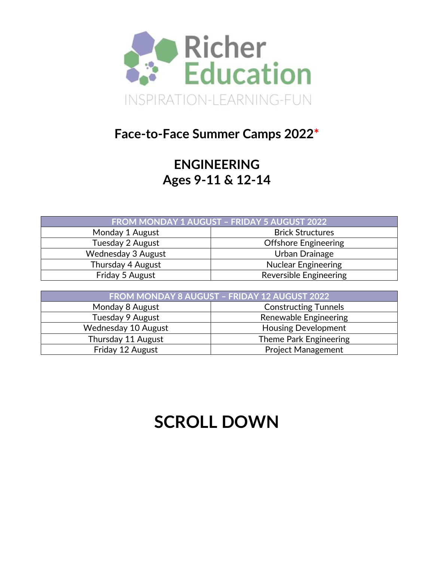

#### **Face-to-Face Summer Camps 2022\***

## **ENGINEERING Ages 9-11 & 12-14**

| FROM MONDAY 1 AUGUST - FRIDAY 5 AUGUST 2022 |                               |  |  |
|---------------------------------------------|-------------------------------|--|--|
| Monday 1 August                             | <b>Brick Structures</b>       |  |  |
| Tuesday 2 August                            | <b>Offshore Engineering</b>   |  |  |
| Wednesday 3 August                          | Urban Drainage                |  |  |
| Thursday 4 August                           | <b>Nuclear Engineering</b>    |  |  |
| Friday 5 August                             | <b>Reversible Engineering</b> |  |  |

| FROM MONDAY 8 AUGUST - FRIDAY 12 AUGUST 2022 |                             |  |  |
|----------------------------------------------|-----------------------------|--|--|
| Monday 8 August                              | <b>Constructing Tunnels</b> |  |  |
| Tuesday 9 August                             | Renewable Engineering       |  |  |
| Wednesday 10 August                          | <b>Housing Development</b>  |  |  |
| Thursday 11 August<br>Theme Park Engineering |                             |  |  |
| Friday 12 August                             | <b>Project Management</b>   |  |  |

# **SCROLL DOWN**